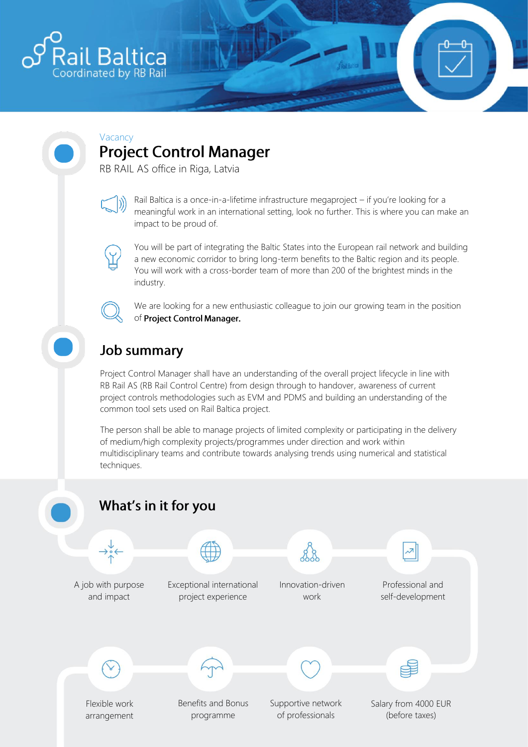

#### Vacancy **Project Control Manager**

RB RAIL AS office in Riga, Latvia



Rail Baltica is a once-in-a-lifetime infrastructure megaproject – if you're looking for a meaningful work in an international setting, look no further. This is where you can make an impact to be proud of.



You will be part of integrating the Baltic States into the European rail network and building a new economic corridor to bring long-term benefits to the Baltic region and its people. You will work with a cross-border team of more than 200 of the brightest minds in the industry.

We are looking for a new enthusiastic colleague to join our growing team in the position of Project Control Manager.

# **Job summary**

Project Control Manager shall have an understanding of the overall project lifecycle in line with RB Rail AS (RB Rail Control Centre) from design through to handover, awareness of current project controls methodologies such as EVM and PDMS and building an understanding of the common tool sets used on Rail Baltica project.

The person shall be able to manage projects of limited complexity or participating in the delivery of medium/high complexity projects/programmes under direction and work within multidisciplinary teams and contribute towards analysing trends using numerical and statistical techniques.